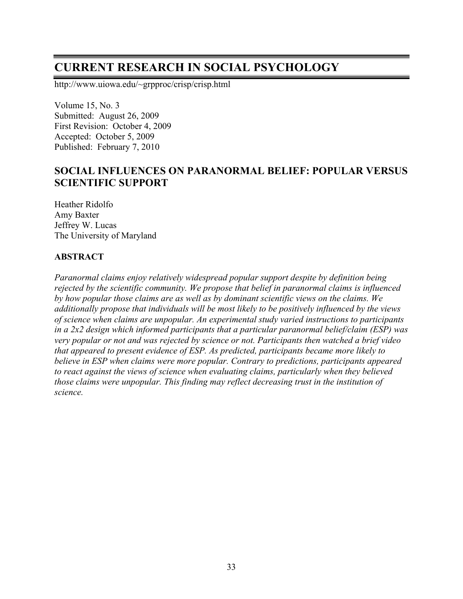# **CURRENT RESEARCH IN SOCIAL PSYCHOLOGY**

http://www.uiowa.edu/~grpproc/crisp/crisp.html

Volume 15, No. 3 Submitted: August 26, 2009 First Revision: October 4, 2009 Accepted: October 5, 2009 Published: February 7, 2010

## **SOCIAL INFLUENCES ON PARANORMAL BELIEF: POPULAR VERSUS SCIENTIFIC SUPPORT**

Heather Ridolfo Amy Baxter Jeffrey W. Lucas The University of Maryland

#### **ABSTRACT**

*Paranormal claims enjoy relatively widespread popular support despite by definition being rejected by the scientific community. We propose that belief in paranormal claims is influenced by how popular those claims are as well as by dominant scientific views on the claims. We additionally propose that individuals will be most likely to be positively influenced by the views of science when claims are unpopular. An experimental study varied instructions to participants in a 2x2 design which informed participants that a particular paranormal belief/claim (ESP) was very popular or not and was rejected by science or not. Participants then watched a brief video that appeared to present evidence of ESP. As predicted, participants became more likely to believe in ESP when claims were more popular. Contrary to predictions, participants appeared to react against the views of science when evaluating claims, particularly when they believed those claims were unpopular. This finding may reflect decreasing trust in the institution of science.*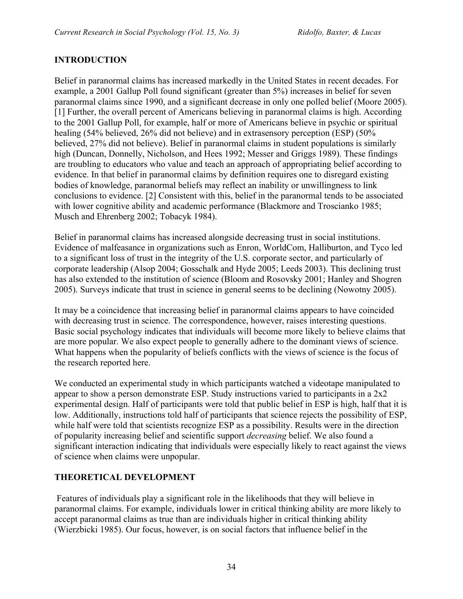## **INTRODUCTION**

Belief in paranormal claims has increased markedly in the United States in recent decades. For example, a 2001 Gallup Poll found significant (greater than 5%) increases in belief for seven paranormal claims since 1990, and a significant decrease in only one polled belief (Moore 2005). [1] Further, the overall percent of Americans believing in paranormal claims is high. According to the 2001 Gallup Poll, for example, half or more of Americans believe in psychic or spiritual healing (54% believed, 26% did not believe) and in extrasensory perception (ESP) (50% believed, 27% did not believe). Belief in paranormal claims in student populations is similarly high (Duncan, Donnelly, Nicholson, and Hees 1992; Messer and Griggs 1989). These findings are troubling to educators who value and teach an approach of appropriating belief according to evidence. In that belief in paranormal claims by definition requires one to disregard existing bodies of knowledge, paranormal beliefs may reflect an inability or unwillingness to link conclusions to evidence. [2] Consistent with this, belief in the paranormal tends to be associated with lower cognitive ability and academic performance (Blackmore and Troscianko 1985; Musch and Ehrenberg 2002; Tobacyk 1984).

Belief in paranormal claims has increased alongside decreasing trust in social institutions. Evidence of malfeasance in organizations such as Enron, WorldCom, Halliburton, and Tyco led to a significant loss of trust in the integrity of the U.S. corporate sector, and particularly of corporate leadership (Alsop 2004; Gosschalk and Hyde 2005; Leeds 2003). This declining trust has also extended to the institution of science (Bloom and Rosovsky 2001; Hanley and Shogren 2005). Surveys indicate that trust in science in general seems to be declining (Nowotny 2005).

It may be a coincidence that increasing belief in paranormal claims appears to have coincided with decreasing trust in science. The correspondence, however, raises interesting questions. Basic social psychology indicates that individuals will become more likely to believe claims that are more popular. We also expect people to generally adhere to the dominant views of science. What happens when the popularity of beliefs conflicts with the views of science is the focus of the research reported here.

We conducted an experimental study in which participants watched a videotape manipulated to appear to show a person demonstrate ESP. Study instructions varied to participants in a 2x2 experimental design. Half of participants were told that public belief in ESP is high, half that it is low. Additionally, instructions told half of participants that science rejects the possibility of ESP, while half were told that scientists recognize ESP as a possibility. Results were in the direction of popularity increasing belief and scientific support *decreasing* belief. We also found a significant interaction indicating that individuals were especially likely to react against the views of science when claims were unpopular.

## **THEORETICAL DEVELOPMENT**

Features of individuals play a significant role in the likelihoods that they will believe in paranormal claims. For example, individuals lower in critical thinking ability are more likely to accept paranormal claims as true than are individuals higher in critical thinking ability (Wierzbicki 1985). Our focus, however, is on social factors that influence belief in the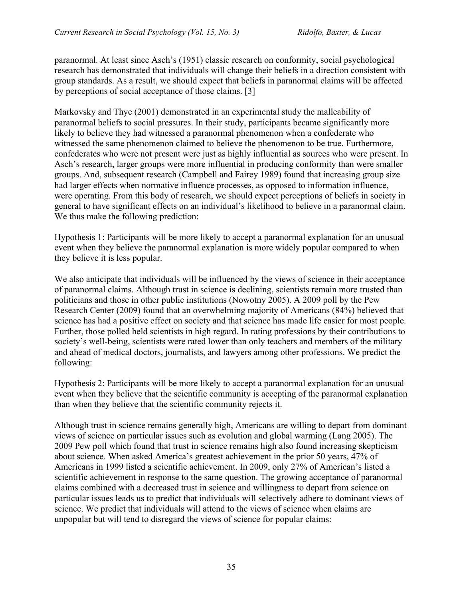paranormal. At least since Asch's (1951) classic research on conformity, social psychological research has demonstrated that individuals will change their beliefs in a direction consistent with group standards. As a result, we should expect that beliefs in paranormal claims will be affected by perceptions of social acceptance of those claims. [3]

Markovsky and Thye (2001) demonstrated in an experimental study the malleability of paranormal beliefs to social pressures. In their study, participants became significantly more likely to believe they had witnessed a paranormal phenomenon when a confederate who witnessed the same phenomenon claimed to believe the phenomenon to be true. Furthermore, confederates who were not present were just as highly influential as sources who were present. In Asch's research, larger groups were more influential in producing conformity than were smaller groups. And, subsequent research (Campbell and Fairey 1989) found that increasing group size had larger effects when normative influence processes, as opposed to information influence, were operating. From this body of research, we should expect perceptions of beliefs in society in general to have significant effects on an individual's likelihood to believe in a paranormal claim. We thus make the following prediction:

Hypothesis 1: Participants will be more likely to accept a paranormal explanation for an unusual event when they believe the paranormal explanation is more widely popular compared to when they believe it is less popular.

We also anticipate that individuals will be influenced by the views of science in their acceptance of paranormal claims. Although trust in science is declining, scientists remain more trusted than politicians and those in other public institutions (Nowotny 2005). A 2009 poll by the Pew Research Center (2009) found that an overwhelming majority of Americans (84%) believed that science has had a positive effect on society and that science has made life easier for most people. Further, those polled held scientists in high regard. In rating professions by their contributions to society's well-being, scientists were rated lower than only teachers and members of the military and ahead of medical doctors, journalists, and lawyers among other professions. We predict the following:

Hypothesis 2: Participants will be more likely to accept a paranormal explanation for an unusual event when they believe that the scientific community is accepting of the paranormal explanation than when they believe that the scientific community rejects it.

Although trust in science remains generally high, Americans are willing to depart from dominant views of science on particular issues such as evolution and global warming (Lang 2005). The 2009 Pew poll which found that trust in science remains high also found increasing skepticism about science. When asked America's greatest achievement in the prior 50 years, 47% of Americans in 1999 listed a scientific achievement. In 2009, only 27% of American's listed a scientific achievement in response to the same question. The growing acceptance of paranormal claims combined with a decreased trust in science and willingness to depart from science on particular issues leads us to predict that individuals will selectively adhere to dominant views of science. We predict that individuals will attend to the views of science when claims are unpopular but will tend to disregard the views of science for popular claims: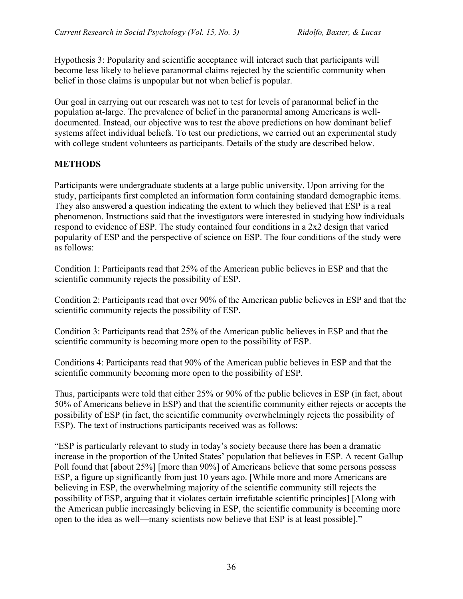Hypothesis 3: Popularity and scientific acceptance will interact such that participants will become less likely to believe paranormal claims rejected by the scientific community when belief in those claims is unpopular but not when belief is popular.

Our goal in carrying out our research was not to test for levels of paranormal belief in the population at-large. The prevalence of belief in the paranormal among Americans is welldocumented. Instead, our objective was to test the above predictions on how dominant belief systems affect individual beliefs. To test our predictions, we carried out an experimental study with college student volunteers as participants. Details of the study are described below.

## **METHODS**

Participants were undergraduate students at a large public university. Upon arriving for the study, participants first completed an information form containing standard demographic items. They also answered a question indicating the extent to which they believed that ESP is a real phenomenon. Instructions said that the investigators were interested in studying how individuals respond to evidence of ESP. The study contained four conditions in a 2x2 design that varied popularity of ESP and the perspective of science on ESP. The four conditions of the study were as follows:

Condition 1: Participants read that 25% of the American public believes in ESP and that the scientific community rejects the possibility of ESP.

Condition 2: Participants read that over 90% of the American public believes in ESP and that the scientific community rejects the possibility of ESP.

Condition 3: Participants read that 25% of the American public believes in ESP and that the scientific community is becoming more open to the possibility of ESP.

Conditions 4: Participants read that 90% of the American public believes in ESP and that the scientific community becoming more open to the possibility of ESP.

Thus, participants were told that either 25% or 90% of the public believes in ESP (in fact, about 50% of Americans believe in ESP) and that the scientific community either rejects or accepts the possibility of ESP (in fact, the scientific community overwhelmingly rejects the possibility of ESP). The text of instructions participants received was as follows:

"ESP is particularly relevant to study in today's society because there has been a dramatic increase in the proportion of the United States' population that believes in ESP. A recent Gallup Poll found that [about 25%] [more than 90%] of Americans believe that some persons possess ESP, a figure up significantly from just 10 years ago. [While more and more Americans are believing in ESP, the overwhelming majority of the scientific community still rejects the possibility of ESP, arguing that it violates certain irrefutable scientific principles] [Along with the American public increasingly believing in ESP, the scientific community is becoming more open to the idea as well—many scientists now believe that ESP is at least possible]."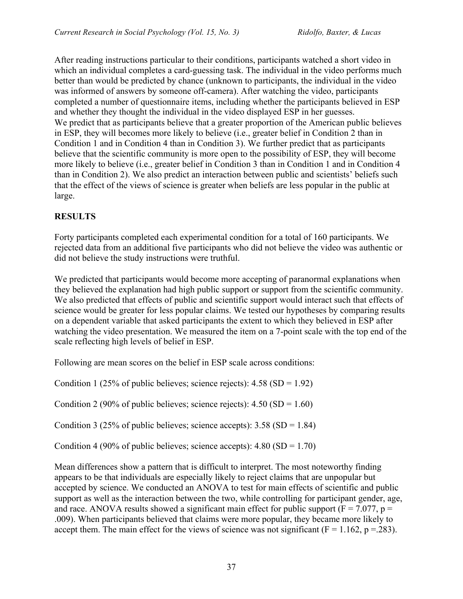After reading instructions particular to their conditions, participants watched a short video in which an individual completes a card-guessing task. The individual in the video performs much better than would be predicted by chance (unknown to participants, the individual in the video was informed of answers by someone off-camera). After watching the video, participants completed a number of questionnaire items, including whether the participants believed in ESP and whether they thought the individual in the video displayed ESP in her guesses. We predict that as participants believe that a greater proportion of the American public believes in ESP, they will becomes more likely to believe (i.e., greater belief in Condition 2 than in Condition 1 and in Condition 4 than in Condition 3). We further predict that as participants believe that the scientific community is more open to the possibility of ESP, they will become more likely to believe (i.e., greater belief in Condition 3 than in Condition 1 and in Condition 4 than in Condition 2). We also predict an interaction between public and scientists' beliefs such that the effect of the views of science is greater when beliefs are less popular in the public at large.

## **RESULTS**

Forty participants completed each experimental condition for a total of 160 participants. We rejected data from an additional five participants who did not believe the video was authentic or did not believe the study instructions were truthful.

We predicted that participants would become more accepting of paranormal explanations when they believed the explanation had high public support or support from the scientific community. We also predicted that effects of public and scientific support would interact such that effects of science would be greater for less popular claims. We tested our hypotheses by comparing results on a dependent variable that asked participants the extent to which they believed in ESP after watching the video presentation. We measured the item on a 7-point scale with the top end of the scale reflecting high levels of belief in ESP.

Following are mean scores on the belief in ESP scale across conditions:

Condition 1 (25% of public believes; science rejects):  $4.58$  (SD = 1.92)

Condition 2 (90% of public believes; science rejects):  $4.50$  (SD = 1.60)

Condition 3 (25% of public believes; science accepts):  $3.58$  (SD = 1.84)

Condition 4 (90% of public believes; science accepts):  $4.80$  (SD = 1.70)

Mean differences show a pattern that is difficult to interpret. The most noteworthy finding appears to be that individuals are especially likely to reject claims that are unpopular but accepted by science. We conducted an ANOVA to test for main effects of scientific and public support as well as the interaction between the two, while controlling for participant gender, age, and race. ANOVA results showed a significant main effect for public support ( $F = 7.077$ ,  $p =$ .009). When participants believed that claims were more popular, they became more likely to accept them. The main effect for the views of science was not significant ( $F = 1.162$ ,  $p = .283$ ).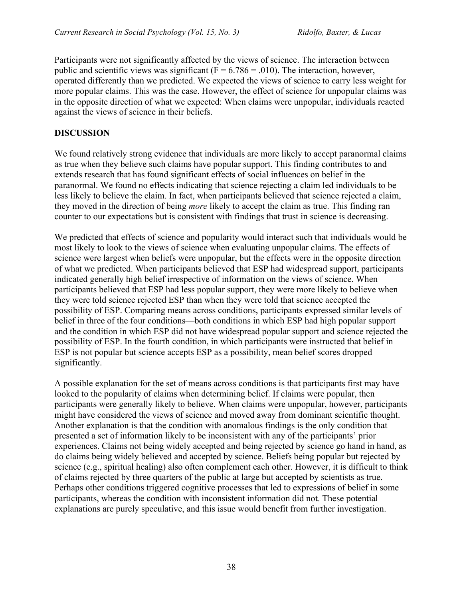Participants were not significantly affected by the views of science. The interaction between public and scientific views was significant ( $F = 6.786 = .010$ ). The interaction, however, operated differently than we predicted. We expected the views of science to carry less weight for more popular claims. This was the case. However, the effect of science for unpopular claims was in the opposite direction of what we expected: When claims were unpopular, individuals reacted against the views of science in their beliefs.

#### **DISCUSSION**

We found relatively strong evidence that individuals are more likely to accept paranormal claims as true when they believe such claims have popular support. This finding contributes to and extends research that has found significant effects of social influences on belief in the paranormal. We found no effects indicating that science rejecting a claim led individuals to be less likely to believe the claim. In fact, when participants believed that science rejected a claim, they moved in the direction of being *more* likely to accept the claim as true. This finding ran counter to our expectations but is consistent with findings that trust in science is decreasing.

We predicted that effects of science and popularity would interact such that individuals would be most likely to look to the views of science when evaluating unpopular claims. The effects of science were largest when beliefs were unpopular, but the effects were in the opposite direction of what we predicted. When participants believed that ESP had widespread support, participants indicated generally high belief irrespective of information on the views of science. When participants believed that ESP had less popular support, they were more likely to believe when they were told science rejected ESP than when they were told that science accepted the possibility of ESP. Comparing means across conditions, participants expressed similar levels of belief in three of the four conditions—both conditions in which ESP had high popular support and the condition in which ESP did not have widespread popular support and science rejected the possibility of ESP. In the fourth condition, in which participants were instructed that belief in ESP is not popular but science accepts ESP as a possibility, mean belief scores dropped significantly.

A possible explanation for the set of means across conditions is that participants first may have looked to the popularity of claims when determining belief. If claims were popular, then participants were generally likely to believe. When claims were unpopular, however, participants might have considered the views of science and moved away from dominant scientific thought. Another explanation is that the condition with anomalous findings is the only condition that presented a set of information likely to be inconsistent with any of the participants' prior experiences. Claims not being widely accepted and being rejected by science go hand in hand, as do claims being widely believed and accepted by science. Beliefs being popular but rejected by science (e.g., spiritual healing) also often complement each other. However, it is difficult to think of claims rejected by three quarters of the public at large but accepted by scientists as true. Perhaps other conditions triggered cognitive processes that led to expressions of belief in some participants, whereas the condition with inconsistent information did not. These potential explanations are purely speculative, and this issue would benefit from further investigation.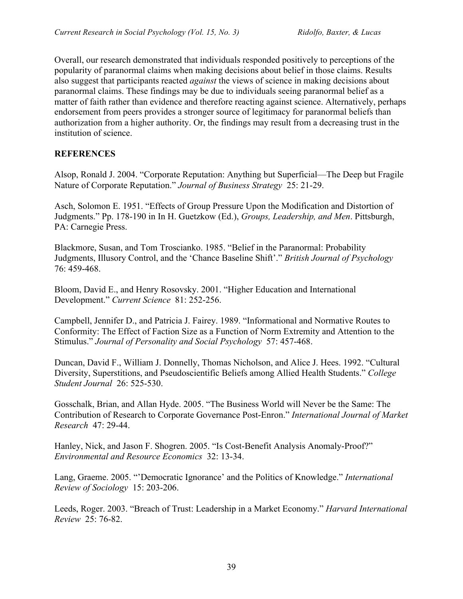Overall, our research demonstrated that individuals responded positively to perceptions of the popularity of paranormal claims when making decisions about belief in those claims. Results also suggest that participants reacted *against* the views of science in making decisions about paranormal claims. These findings may be due to individuals seeing paranormal belief as a matter of faith rather than evidence and therefore reacting against science. Alternatively, perhaps endorsement from peers provides a stronger source of legitimacy for paranormal beliefs than authorization from a higher authority. Or, the findings may result from a decreasing trust in the institution of science.

#### **REFERENCES**

Alsop, Ronald J. 2004. "Corporate Reputation: Anything but Superficial—The Deep but Fragile Nature of Corporate Reputation." *Journal of Business Strategy* 25: 21-29.

Asch, Solomon E. 1951. "Effects of Group Pressure Upon the Modification and Distortion of Judgments." Pp. 178-190 in In H. Guetzkow (Ed.), *Groups, Leadership, and Men*. Pittsburgh, PA: Carnegie Press.

Blackmore, Susan, and Tom Troscianko. 1985. "Belief in the Paranormal: Probability Judgments, Illusory Control, and the 'Chance Baseline Shift'." *British Journal of Psychology* 76: 459-468.

Bloom, David E., and Henry Rosovsky. 2001. "Higher Education and International Development." *Current Science* 81: 252-256.

Campbell, Jennifer D., and Patricia J. Fairey. 1989. "Informational and Normative Routes to Conformity: The Effect of Faction Size as a Function of Norm Extremity and Attention to the Stimulus." *Journal of Personality and Social Psychology* 57: 457-468.

Duncan, David F., William J. Donnelly, Thomas Nicholson, and Alice J. Hees. 1992. "Cultural Diversity, Superstitions, and Pseudoscientific Beliefs among Allied Health Students." *College Student Journal* 26: 525-530.

Gosschalk, Brian, and Allan Hyde. 2005. "The Business World will Never be the Same: The Contribution of Research to Corporate Governance Post-Enron." *International Journal of Market Research* 47: 29-44.

Hanley, Nick, and Jason F. Shogren. 2005. "Is Cost-Benefit Analysis Anomaly-Proof?" *Environmental and Resource Economics* 32: 13-34.

Lang, Graeme. 2005. "'Democratic Ignorance' and the Politics of Knowledge." *International Review of Sociology* 15: 203-206.

Leeds, Roger. 2003. "Breach of Trust: Leadership in a Market Economy." *Harvard International Review* 25: 76-82.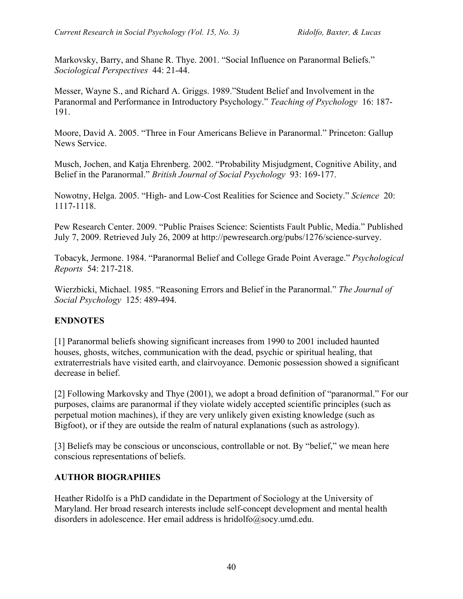Markovsky, Barry, and Shane R. Thye. 2001. "Social Influence on Paranormal Beliefs." *Sociological Perspectives* 44: 21-44.

Messer, Wayne S., and Richard A. Griggs. 1989."Student Belief and Involvement in the Paranormal and Performance in Introductory Psychology." *Teaching of Psychology* 16: 187- 191.

Moore, David A. 2005. "Three in Four Americans Believe in Paranormal." Princeton: Gallup News Service.

Musch, Jochen, and Katja Ehrenberg. 2002. "Probability Misjudgment, Cognitive Ability, and Belief in the Paranormal." *British Journal of Social Psychology* 93: 169-177.

Nowotny, Helga. 2005. "High- and Low-Cost Realities for Science and Society." *Science* 20: 1117-1118.

Pew Research Center. 2009. "Public Praises Science: Scientists Fault Public, Media." Published July 7, 2009. Retrieved July 26, 2009 at http://pewresearch.org/pubs/1276/science-survey.

Tobacyk, Jermone. 1984. "Paranormal Belief and College Grade Point Average." *Psychological Reports* 54: 217-218.

Wierzbicki, Michael. 1985. "Reasoning Errors and Belief in the Paranormal." *The Journal of Social Psychology* 125: 489-494.

## **ENDNOTES**

[1] Paranormal beliefs showing significant increases from 1990 to 2001 included haunted houses, ghosts, witches, communication with the dead, psychic or spiritual healing, that extraterrestrials have visited earth, and clairvoyance. Demonic possession showed a significant decrease in belief.

[2] Following Markovsky and Thye (2001), we adopt a broad definition of "paranormal." For our purposes, claims are paranormal if they violate widely accepted scientific principles (such as perpetual motion machines), if they are very unlikely given existing knowledge (such as Bigfoot), or if they are outside the realm of natural explanations (such as astrology).

[3] Beliefs may be conscious or unconscious, controllable or not. By "belief," we mean here conscious representations of beliefs.

#### **AUTHOR BIOGRAPHIES**

Heather Ridolfo is a PhD candidate in the Department of Sociology at the University of Maryland. Her broad research interests include self-concept development and mental health disorders in adolescence. Her email address is hridolfo@socy.umd.edu.